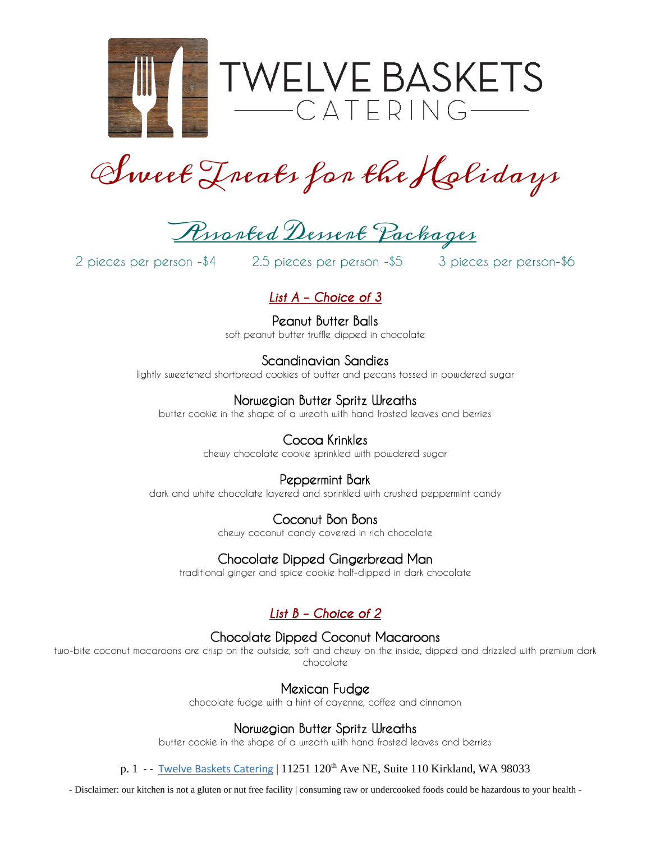

Sweet Treats for the Holidays

Ryorted Dessert Packages

2 pieces per person -\$4 2.5 pieces per person -\$5 3 pieces per person-\$6

# *List A – Choice of 3*

Peanut Butter Balls soft peanut butter truffle dipped in chocolate

Scandinavian Sandies lightly sweetened shortbread cookies of butter and pecans tossed in powdered sugar

# Norwegian Butter Spritz Wreaths

butter cookie in the shape of a wreath with hand frosted leaves and berries

## Cocoa Krinkles

chewy chocolate cookie sprinkled with powdered sugar

# Peppermint Bark

dark and white chocolate layered and sprinkled with crushed peppermint candy

# Coconut Bon Bons

chewy coconut candy covered in rich chocolate

# Chocolate Dipped Gingerbread Man

traditional ginger and spice cookie half-dipped in dark chocolate

# *List B – Choice of 2*

# Chocolate Dipped Coconut Macaroons

two-bite coconut macaroons are crisp on the outside, soft and chewy on the inside, dipped and drizzled with premium dark chocolate

## Mexican Fudge

chocolate fudge with a hint of cayenne, coffee and cinnamon

# Norwegian Butter Spritz Wreaths

butter cookie in the shape of a wreath with hand frosted leaves and berries

#### p. 1 - - [Twelve Baskets Catering](http://www.twelvebasketscatering.com/) | 11251 120<sup>th</sup> Ave NE, Suite 110 Kirkland, WA 98033

- Disclaimer: our kitchen is not a gluten or nut free facility | consuming raw or undercooked foods could be hazardous to your health -